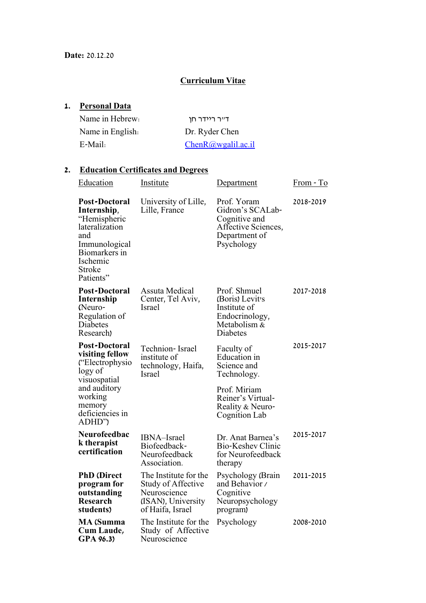# **Curriculum Vitae**

# **1. Personal Data**

| Name in Hebrew:  | דייר ריידר חו     |
|------------------|-------------------|
| Name in English. | Dr. Ryder Chen    |
| E-Mail:          | ChenR@wgalil.ac.i |

#### **2. Education Certificates and Degrees**

| <b>Education</b>                                                                                                                                         | <u>Institute</u>                                                                                      | Department                                                                                             | <u> From - To</u> |
|----------------------------------------------------------------------------------------------------------------------------------------------------------|-------------------------------------------------------------------------------------------------------|--------------------------------------------------------------------------------------------------------|-------------------|
| <b>Post-Doctoral</b><br>Internship,<br>"Hemispheric<br>lateralization<br>and<br>Immunological<br>Biomarkers in<br>Ischemic<br><b>Stroke</b><br>Patients" | University of Lille,<br>Lille, France                                                                 | Prof. Yoram<br>Gidron's SCALab-<br>Cognitive and<br>Affective Sciences,<br>Department of<br>Psychology | 2018-2019         |
| <b>Post-Doctoral</b><br>Internship<br>(Neuro-<br>Regulation of<br>Diabetes<br>Research)                                                                  | <b>Assuta Medical</b><br>Center, Tel Aviv,<br>Israel                                                  | Prof. Shmuel<br>(Boris) Levit's<br>Institute of<br>Endocrinology,<br>Metabolism &<br><b>Diabetes</b>   | 2017-2018         |
| Post-Doctoral<br>visiting fellow<br>("Electrophysio<br>logy of<br>visuospatial<br>and auditory<br>working<br>memory<br>deficiencies in<br>ADHD")         | Technion-Israel<br>institute of<br>technology, Haifa,<br>Israel                                       | Faculty of<br><b>Education</b> in<br>Science and<br>Technology.                                        | 2015-2017         |
|                                                                                                                                                          |                                                                                                       | Prof. Miriam<br>Reiner's Virtual-<br>Reality & Neuro-<br>Cognition Lab                                 |                   |
| Neurofeedbac<br>k therapist<br>certification                                                                                                             | <b>IBNA-Israel</b><br>Biofeedback-<br>Neurofeedback<br>Association.                                   | Dr. Anat Barnea's<br><b>Bio-Keshev Clinic</b><br>for Neurofeedback<br>therapy                          | 2015-2017         |
| <b>PhD</b> (Direct<br>program for<br>outstanding<br><b>Research</b><br>students)                                                                         | The Institute for the<br>Study of Affective<br>Neuroscience<br>(ISAN), University<br>of Haifa, Israel | Psychology (Brain<br>and Behavior /<br>Cognitive<br>Neuropsychology<br>program)                        | 2011-2015         |
| <b>MA</b> (Summa<br>Cum Laude,<br>GPA 96.3)                                                                                                              | The Institute for the<br>Study of Affective<br>Neuroscience                                           | Psychology                                                                                             | 2008-2010         |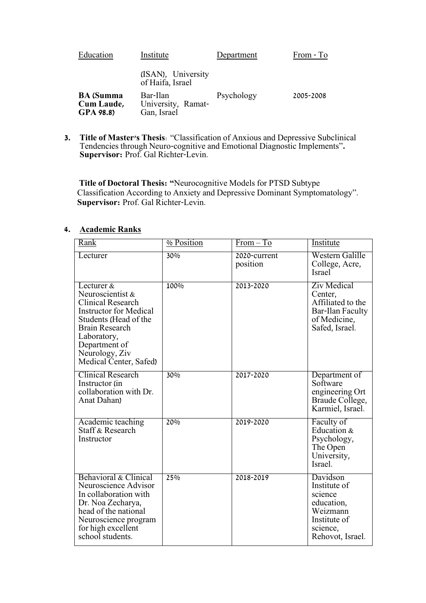| Education                                   | Institute                                     | Department | From - To |
|---------------------------------------------|-----------------------------------------------|------------|-----------|
|                                             | (ISAN), University<br>of Haifa, Israel        |            |           |
| <b>BA</b> (Summa<br>Cum Laude,<br>GPA 98.8) | Bar-Ilan<br>University, Ramat-<br>Gan, Israel | Psychology | 2005-2008 |

**3. Title of Master's Thesis**: "Classification of Anxious and Depressive Subclinical Tendencies through Neuro-cognitive and Emotional Diagnostic Implements"**. Supervisor:** Prof. Gal Richter-Levin.

**Title of Doctoral Thesis: "**Neurocognitive Models for PTSD Subtype Classification According to Anxiety and Depressive Dominant Symptomatology". **Supervisor:** Prof. Gal Richter-Levin.

## **4. Academic Ranks**

| Rank                                                                                                                                                                                                                      | % Position | $From - To$              | Institute                                                                                                       |
|---------------------------------------------------------------------------------------------------------------------------------------------------------------------------------------------------------------------------|------------|--------------------------|-----------------------------------------------------------------------------------------------------------------|
| Lecturer                                                                                                                                                                                                                  | 30%        | 2020-current<br>position | Western Galille<br>College, Acre,<br><b>Israel</b>                                                              |
| Lecturer &<br>Neuroscientist &<br><b>Clinical Research</b><br><b>Instructor for Medical</b><br>Students (Head of the<br><b>Brain Research</b><br>Laboratory,<br>Department of<br>Neurology, Ziv<br>Medical Center, Safed) | 100%       | 2013-2020                | <b>Ziv Medical</b><br>Center,<br>Affiliated to the<br><b>Bar-Ilan Faculty</b><br>of Medicine,<br>Safed, Israel. |
| <b>Clinical Research</b><br>Instructor (in<br>collaboration with Dr.<br>Anat Dahan)                                                                                                                                       | 30%        | 2017-2020                | Department of<br>Software<br>engineering Ort<br>Braude College,<br>Karmiel, Israel.                             |
| Academic teaching<br><b>Staff &amp; Research</b><br>Instructor                                                                                                                                                            | 20%        | 2019-2020                | Faculty of<br>Education &<br>Psychology,<br>The Open<br>University,<br>Israel.                                  |
| Behavioral & Clinical<br>Neuroscience Advisor<br>In collaboration with<br>Dr. Noa Zecharya,<br>head of the national<br>Neuroscience program<br>for high excellent<br>school students.                                     | 25%        | 2018-2019                | Davidson<br>Institute of<br>science<br>education,<br>Weizmann<br>Institute of<br>science,<br>Rehovot, Israel.   |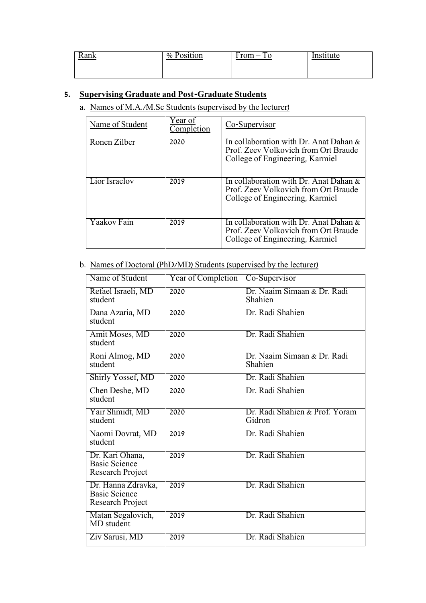| <b>Rank</b> | $\frac{0}{0}$<br>Position | -<br>rom.<br>1 v | tute<br>$\overline{\phantom{a}}$ |
|-------------|---------------------------|------------------|----------------------------------|
|             |                           |                  |                                  |

# **5. Supervising Graduate and Post-Graduate Students**

a. Names of M.A./M.Sc Students (supervised by the lecturer)

| Name of Student | Year of<br>Completion | Co-Supervisor                                                                                                        |
|-----------------|-----------------------|----------------------------------------------------------------------------------------------------------------------|
| Ronen Zilber    | 2020                  | In collaboration with Dr. Anat Dahan $\&$<br>Prof. Zeev Volkovich from Ort Braude<br>College of Engineering, Karmiel |
| Lior Israelov   | 2019                  | In collaboration with Dr. Anat Dahan $\&$<br>Prof. Zeev Volkovich from Ort Braude<br>College of Engineering, Karmiel |
| Yaakov Fain     | 2019                  | In collaboration with Dr. Anat Dahan $\&$<br>Prof. Zeev Volkovich from Ort Braude<br>College of Engineering, Karmiel |

# b. Names of Doctoral (PhD/MD) Students (supervised by the lecturer)

| Name of Student                                                | <b>Year of Completion</b> | Co-Supervisor                            |
|----------------------------------------------------------------|---------------------------|------------------------------------------|
| Refael Israeli, MD<br>student                                  | 2020                      | Dr. Naaim Simaan & Dr. Radi<br>Shahien   |
| Dana Azaria, MD<br>student                                     | 2020                      | Dr. Radi Shahien                         |
| Amit Moses, MD<br>student                                      | 2020                      | Dr. Radi Shahien                         |
| Roni Almog, MD<br>student                                      | 2020                      | Dr. Naaim Simaan & Dr. Radi<br>Shahien   |
| <b>Shirly Yossef, MD</b>                                       | 2020                      | Dr. Radi Shahien                         |
| Chen Deshe, MD<br>student                                      | 2020                      | Dr. Radi Shahien                         |
| Yair Shmidt, MD<br>student                                     | 2020                      | Dr. Radi Shahien & Prof. Yoram<br>Gidron |
| Naomi Dovrat, MD<br>student                                    | 2019                      | Dr. Radi Shahien                         |
| Dr. Kari Ohana,<br><b>Basic Science</b><br>Research Project    | 2019                      | Dr. Radi Shahien                         |
| Dr. Hanna Zdravka,<br><b>Basic Science</b><br>Research Project | 2019                      | Dr. Radi Shahien                         |
| Matan Segalovich,<br>MD student                                | 2019                      | Dr. Radi Shahien                         |
| Ziv Sarusi, MD                                                 | 2019                      | Dr. Radi Shahien                         |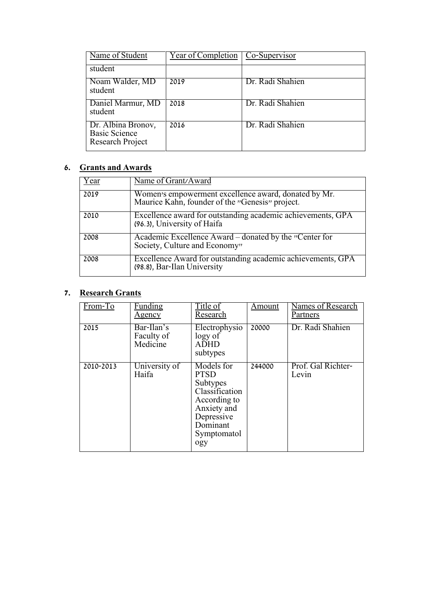| Name of Student                                                | Year of Completion   Co-Supervisor |                  |
|----------------------------------------------------------------|------------------------------------|------------------|
| student                                                        |                                    |                  |
| Noam Walder, MD<br>student                                     | 2019                               | Dr. Radi Shahien |
| Daniel Marmur, MD<br>student                                   | 2018                               | Dr. Radi Shahien |
| Dr. Albina Bronov,<br><b>Basic Science</b><br>Research Project | 2016                               | Dr. Radi Shahien |

# **6. Grants and Awards**

| 'ear | Name of Grant/Award                                                                                     |
|------|---------------------------------------------------------------------------------------------------------|
| 2019 | Women's empowerment excellence award, donated by Mr.<br>Maurice Kahn, founder of the "Genesis" project. |
| 2010 | Excellence award for outstanding academic achievements, GPA<br>(96.3), University of Haifa              |
| 2008 | Academic Excellence Award – donated by the "Center for<br>Society, Culture and Economy"                 |
| 2008 | Excellence Award for outstanding academic achievements, GPA<br>(98.8), Bar-Ilan University              |

# **7. Research Grants**

| From-To   | <u>Funding</u><br>Agency             | Title of<br>Research                                                                                                                   | Amount | <b>Names of Research</b><br>Partners |
|-----------|--------------------------------------|----------------------------------------------------------------------------------------------------------------------------------------|--------|--------------------------------------|
| 2015      | Bar-Ilan's<br>Faculty of<br>Medicine | Electrophysio<br>logy of<br><b>ADHD</b><br>subtypes                                                                                    | 20000  | Dr. Radi Shahien                     |
| 2010-2013 | University of<br>Haifa               | Models for<br><b>PTSD</b><br>Subtypes<br>Classification<br>According to<br>Anxiety and<br>Depressive<br>Dominant<br>Symptomatol<br>ogy | 244000 | Prof. Gal Richter-<br>Levin          |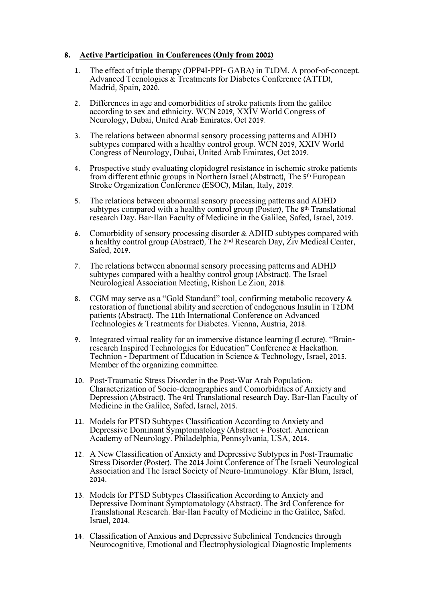### **8. Active Participation in Conferences (Only from 2001)**

- 1. The effect of triple therapy (DPP4I-PPI- GABA) in T1DM. A proof-of-concept. Advanced Tecnologies & Treatments for Diabetes Conference (ATTD), Madrid, Spain, 2020.
- 2. Differences in age and comorbidities of stroke patients from the galilee according to sex and ethnicity. WCN 2019, XXIV World Congress of Neurology, Dubai, United Arab Emirates, Oct 2019.
- 3. The relations between abnormal sensory processing patterns and ADHD subtypes compared with a healthy control group. WCN 2019, XXIV World Congress of Neurology, Dubai, United Arab Emirates, Oct 2019.
- 4. Prospective study evaluating clopidogrel resistance in ischemic stroke patients from different ethnic groups in Northern Israel (Abstract), The 5th European Stroke Organization Conference (ESOC), Milan, Italy, 2019.
- 5. The relations between abnormal sensory processing patterns and ADHD subtypes compared with a healthy control group (Poster), The 8<sup>th</sup> Translational research Day. Bar-Ilan Faculty of Medicine in the Galilee, Safed, Israel, 2019.
- 6. Comorbidity of sensory processing disorder & ADHD subtypes compared with a healthy control group (Abstract), The 2nd Research Day, Ziv Medical Center, Safed, 2019.
- 7. The relations between abnormal sensory processing patterns and ADHD subtypes compared with a healthy control group (Abstract). The Israel Neurological Association Meeting, Rishon Le Zion, 2018.
- 8. CGM may serve as a "Gold Standard" tool, confirming metabolic recovery & restoration of functional ability and secretion of endogenous Insulin in T2DM patients (Abstract). The 11th International Conference on Advanced Technologies & Treatments for Diabetes. Vienna, Austria, 2018.
- 9. Integrated virtual reality for an immersive distance learning (Lecture). "Brainresearch Inspired Technologies for Education" Conference & Hackathon. Technion - Department of Education in Science & Technology, Israel, 2015. Member of the organizing committee.
- 10. Post-Traumatic Stress Disorder in the Post-War Arab Population: Characterization of Socio-demographics and Comorbidities of Anxiety and Depression (Abstract). The 4rd Translational research Day. Bar-Ilan Faculty of Medicine in the Galilee, Safed, Israel, 2015.
- 11. Models for PTSD Subtypes Classification According to Anxiety and Depressive Dominant Symptomatology (Abstract + Poster). American Academy of Neurology. Philadelphia, Pennsylvania, USA, 2014.
- 12. A New Classification of Anxiety and Depressive Subtypes in Post-Traumatic Stress Disorder (Poster). The 2014 Joint Conference of The Israeli Neurological Association and The Israel Society of Neuro-Immunology. Kfar Blum, Israel, 2014.
- 13. Models for PTSD Subtypes Classification According to Anxiety and Depressive Dominant Symptomatology (Abstract). The 3rd Conference for Translational Research. Bar-Ilan Faculty of Medicine in the Galilee, Safed, Israel, 2014.
- 14. Classification of Anxious and Depressive Subclinical Tendencies through Neurocognitive, Emotional and Electrophysiological Diagnostic Implements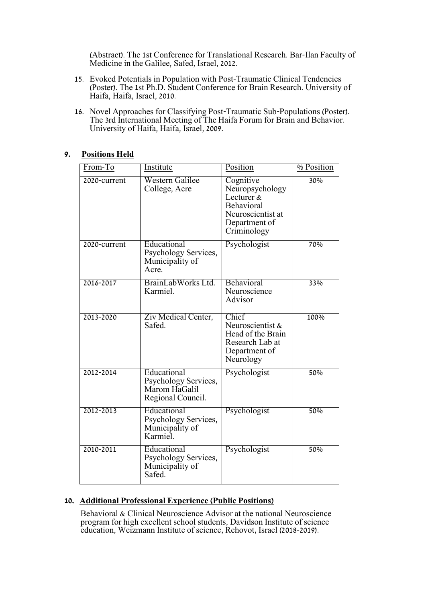(Abstract). The 1st Conference for Translational Research. Bar-Ilan Faculty of Medicine in the Galilee, Safed, Israel, 2012.

- 15. Evoked Potentials in Population with Post-Traumatic Clinical Tendencies (Poster). The 1st Ph.D. Student Conference for Brain Research. University of Haifa, Haifa, Israel, 2010.
- 16. Novel Approaches for Classifying Post-Traumatic Sub-Populations (Poster). The 3rd International Meeting of The Haifa Forum for Brain and Behavior. University of Haifa, Haifa, Israel, 2009.

## **9. Positions Held**

| From-To      | <b>Institute</b>                                                          | Position                                                                                                         | % Position |
|--------------|---------------------------------------------------------------------------|------------------------------------------------------------------------------------------------------------------|------------|
| 2020-current | <b>Western Galilee</b><br>College, Acre                                   | Cognitive<br>Neuropsychology<br>Lecturer $\&$<br>Behavioral<br>Neuroscientist at<br>Department of<br>Criminology | 30%        |
| 2020-current | Educational<br>Psychology Services,<br>Municipality of<br>Acre.           | Psychologist                                                                                                     | 70%        |
| 2016-2017    | BrainLabWorks Ltd.<br>Karmiel.                                            | Behavioral<br>Neuroscience<br>Advisor                                                                            | 33%        |
| 2013-2020    | Ziv Medical Center,<br>Safed.                                             | Chief<br>Neuroscientist &<br>Head of the Brain<br>Research Lab at<br>Department of<br>Neurology                  | 100%       |
| 2012-2014    | Educational<br>Psychology Services,<br>Marom HaGalil<br>Regional Council. | Psychologist                                                                                                     | 50%        |
| 2012-2013    | Educational<br>Psychology Services,<br>Municipality of<br>Karmiel.        | Psychologist                                                                                                     | 50%        |
| 2010-2011    | Educational<br>Psychology Services,<br>Municipality of<br>Safed.          | Psychologist                                                                                                     | 50%        |

# **10. Additional Professional Experience (Public Positions)**

Behavioral & Clinical Neuroscience Advisor at the national Neuroscience program for high excellent school students, Davidson Institute of science education, Weizmann Institute of science, Rehovot, Israel (2018-2019).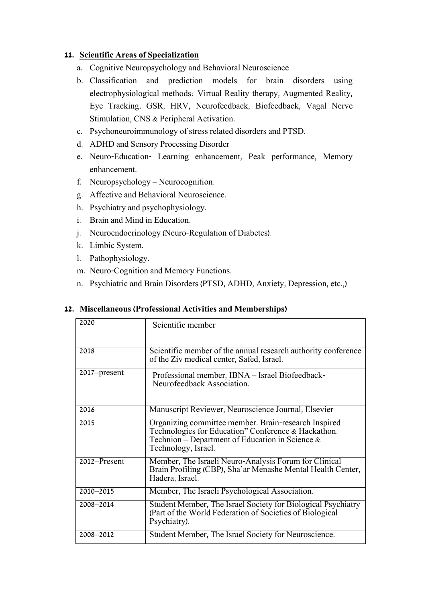# **11. Scientific Areas of Specialization**

- a. Cognitive Neuropsychology and Behavioral Neuroscience
- b. Classification and prediction models for brain disorders using electrophysiological methods: Virtual Reality therapy, Augmented Reality, Eye Tracking, GSR, HRV, Neurofeedback, Biofeedback, Vagal Nerve Stimulation, CNS & Peripheral Activation.
- c. Psychoneuroimmunology of stress related disorders and PTSD.
- d. ADHD and Sensory Processing Disorder
- e. Neuro-Education- Learning enhancement, Peak performance, Memory enhancement.
- f. Neuropsychology Neurocognition.
- g. Affective and Behavioral Neuroscience.
- h. Psychiatry and psychophysiology.
- i. Brain and Mind in Education.
- j. Neuroendocrinology (Neuro-Regulation of Diabetes).
- k. Limbic System.
- l. Pathophysiology.
- m. Neuro-Cognition and Memory Functions.
- n. Psychiatric and Brain Disorders (PTSD, ADHD, Anxiety, Depression, etc.,)

| 2020         | Scientific member                                                                                                                                                                        |
|--------------|------------------------------------------------------------------------------------------------------------------------------------------------------------------------------------------|
| 2018         | Scientific member of the annual research authority conference<br>of the Ziv medical center, Safed, Israel.                                                                               |
| 2017–present | Professional member, IBNA – Israel Biofeedback-<br>Neurofeedback Association.                                                                                                            |
| 2016         | Manuscript Reviewer, Neuroscience Journal, Elsevier                                                                                                                                      |
| 2015         | Organizing committee member. Brain-research Inspired<br>Technologies for Education" Conference & Hackathon.<br>Technion – Department of Education in Science $\&$<br>Technology, Israel. |
| 2012–Present | Member, The Israeli Neuro-Analysis Forum for Clinical<br>Brain Profiling (CBP), Sha'ar Menashe Mental Health Center,<br>Hadera, Israel.                                                  |
| 2010-2015    | Member, The Israeli Psychological Association.                                                                                                                                           |
| 2008-2014    | Student Member, The Israel Society for Biological Psychiatry<br>(Part of the World Federation of Societies of Biological<br>Psychiatry).                                                 |
| 2008-2012    | Student Member, The Israel Society for Neuroscience.                                                                                                                                     |

### **12. Miscellaneous (Professional Activities and Memberships)**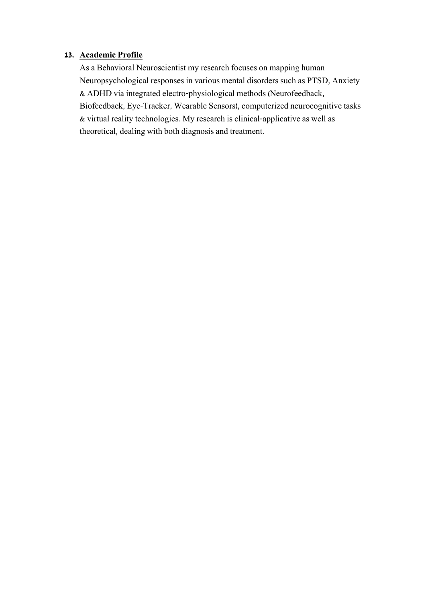# **13. Academic Profile**

As a Behavioral Neuroscientist my research focuses on mapping human Neuropsychological responses in various mental disorders such as PTSD, Anxiety & ADHD via integrated electro-physiological methods (Neurofeedback, Biofeedback, Eye-Tracker, Wearable Sensors), computerized neurocognitive tasks & virtual reality technologies. My research is clinical-applicative as well as theoretical, dealing with both diagnosis and treatment.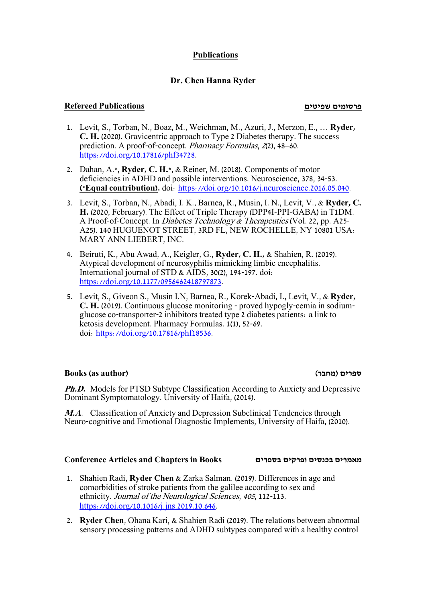# **Publications**

# **Dr. Chen Hanna Ryder**

### **פרסומים שפיטים Publications Refereed**

- 1. Levit, S., Torban, N., Boaz, M., Weichman, M., Azuri, J., Merzon, E., … **Ryder, C. H.** (2020). Gravicentric approach to Type 2 Diabetes therapy. The success prediction. A proof-of-concept. Pharmacy Formulas, 2(2), 48–60. [https://doi.org/10.17816/phf34728.](https://doi.org/10.17816/phf34728)
- 2. Dahan, A.\*, **Ryder, C. H.\***, & Reiner, M. (2018). Components of motor deficiencies in ADHD and possible interventions. Neuroscience, 378, 34-53. **(\*Equal contribution).** doi: [https://doi.org/10.1016/j.neuroscience.2016.05.040.](https://doi.org/10.1016/j.neuroscience.2016.05.040)
- 3. Levit, S., Torban, N., Abadi, I. K., Barnea, R., Musin, I. N., Levit, V., & **Ryder, C. H.** (2020, February). The Effect of Triple Therapy (DPP4I-PPI-GABA) in T1DM. A Proof-of-Concept. In Diabetes Technology & Therapeutics (Vol. 22, pp. A25- A25). 140 HUGUENOT STREET, 3RD FL, NEW ROCHELLE, NY 10801 USA: MARY ANN LIEBERT, INC.
- 4. Beiruti, K., Abu Awad, A., Keigler, G., **Ryder, C. H.,** & Shahien, R. (2019). Atypical development of neurosyphilis mimicking limbic encephalitis. International journal of STD & AIDS, 30(2), 194-197. doi: [https://doi.org/10.1177/0956462418797873.](https://doi.org/10.1177/0956462418797873)
- 5. Levit, S., Giveon S., Musin I.N, Barnea, R., Korek-Abadi, I., Levit, V., & **Ryder, C. H.** (2019). Continuous glucose monitoring - proved hypogly-cemia in sodiumglucose co-transporter-2 inhibitors treated type 2 diabetes patients: a link to ketosis development. Pharmacy Formulas. 1(1), 52-69. doi: [https://doi.org/10.17816/phf18536.](https://doi.org/10.17816/phf18536)

### **Books (as author) )מחבר )ספרים**

**Ph.D.** Models for PTSD Subtype Classification According to Anxiety and Depressive Dominant Symptomatology. University of Haifa, (2014).

**M.A**. Classification of Anxiety and Depression Subclinical Tendencies through Neuro-cognitive and Emotional Diagnostic Implements, University of Haifa, (2010).

### **Conference Articles and Chapters in Books בספרים ופרקים בכנסים מאמרים**

- 1. Shahien Radi, **Ryder Chen** & Zarka Salman. (2019). Differences in age and comorbidities of stroke patients from the galilee according to sex and ethnicity. Journal of the Neurological Sciences, <sup>405</sup>, 112-113. [https://doi.org/10.1016/j.jns.2019.10.646.](https://doi.org/10.1016/j.jns.2019.10.646)
- 2. **Ryder Chen**, Ohana Kari, & Shahien Radi (2019). The relations between abnormal sensory processing patterns and ADHD subtypes compared with a healthy control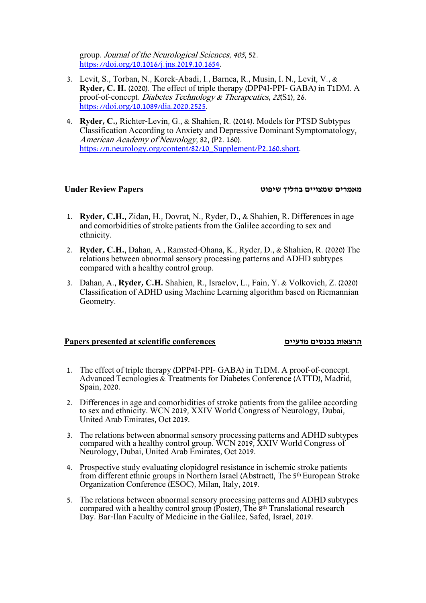group. Journal of the Neurological Sciences, <sup>405</sup>, 52. [https://doi.org/10.1016/j.jns.2019.10.1654.](https://doi.org/10.1016/j.jns.2019.10.1654)

- 3. Levit, S., Torban, N., Korek-Abadi, I., Barnea, R., Musin, I. N., Levit, V., & **Ryder, C. H.** (2020). The effect of triple therapy (DPP4I-PPI- GABA) in T1DM. A proof-of-concept. Diabetes Technology & Therapeutics, 22(S1), 26. [https://doi.org/10.1089/dia.2020.2525.](https://doi.org/10.1089/dia.2020.2525)
- 4. **Ryder, C.,** Richter-Levin, G., & Shahien, R. (2014). Models for PTSD Subtypes Classification According to Anxiety and Depressive Dominant Symptomatology, American Academy of Neurology, 82, (P2. 160). [https://n.neurology.org/content/82/10\\_Supplement/P2.160.short.](https://n.neurology.org/content/82/10_Supplement/P2.160.short)

#### **מאמרים שמצויים בהליך שיפוט Papers Review Under**

- 1. **Ryder, C.H.**, Zidan, H., Dovrat, N., Ryder, D., & Shahien, R. Differences in age and comorbidities of stroke patients from the Galilee according to sex and ethnicity.
- 2. **Ryder, C.H.**, Dahan, A., Ramsted-Ohana, K., Ryder, D., & Shahien, R. (2020) The relations between abnormal sensory processing patterns and ADHD subtypes compared with a healthy control group.
- 3. Dahan, A., **Ryder, C.H.** Shahien, R., Israelov, L., Fain, Y. & Volkovich, Z. (2020) Classification of ADHD using Machine Learning algorithm based on Riemannian Geometry.

### **Papers presented at scientific conferences מדעיים בכנסים הרצאות**

- 1. The effect of triple therapy (DPP4I-PPI- GABA) in T1DM. A proof-of-concept. Advanced Tecnologies & Treatments for Diabetes Conference (ATTD), Madrid, Spain, 2020.
- 2. Differences in age and comorbidities of stroke patients from the galilee according to sex and ethnicity. WCN 2019, XXIV World Congress of Neurology, Dubai, United Arab Emirates, Oct 2019.
- 3. The relations between abnormal sensory processing patterns and ADHD subtypes compared with a healthy control group. WCN 2019, XXIV World Congress of Neurology, Dubai, United Arab Emirates, Oct 2019.
- 4. Prospective study evaluating clopidogrel resistance in ischemic stroke patients from different ethnic groups in Northern Israel (Abstract), The 5th European Stroke Organization Conference (ESOC), Milan, Italy, 2019.
- 5. The relations between abnormal sensory processing patterns and ADHD subtypes compared with a healthy control group (Poster), The 8th Translational research Day. Bar-Ilan Faculty of Medicine in the Galilee, Safed, Israel, 2019.